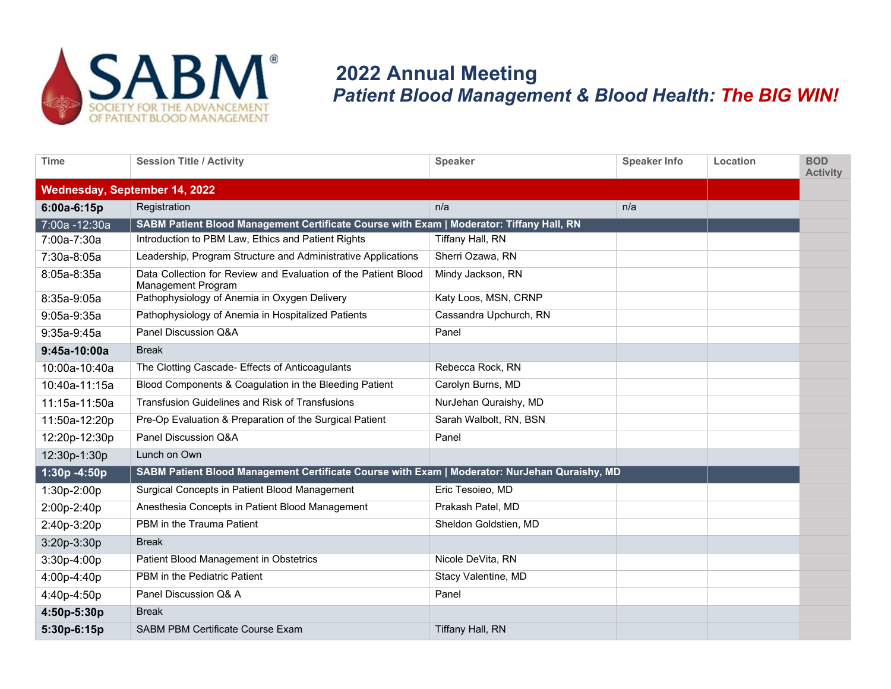

## **2022 Annual Meeting**  *Patient Blood Management & Blood Health: The BIG WIN!*

| <b>Time</b>                   | <b>Session Title / Activity</b>                                                               | <b>Speaker</b>         | <b>Speaker Info</b> | Location | <b>BOD</b><br><b>Activity</b> |  |
|-------------------------------|-----------------------------------------------------------------------------------------------|------------------------|---------------------|----------|-------------------------------|--|
| Wednesday, September 14, 2022 |                                                                                               |                        |                     |          |                               |  |
| 6:00a-6:15p                   | Registration                                                                                  | n/a                    | n/a                 |          |                               |  |
| 7:00a -12:30a                 | SABM Patient Blood Management Certificate Course with Exam   Moderator: Tiffany Hall, RN      |                        |                     |          |                               |  |
| 7:00a-7:30a                   | Introduction to PBM Law, Ethics and Patient Rights                                            | Tiffany Hall, RN       |                     |          |                               |  |
| 7:30a-8:05a                   | Leadership, Program Structure and Administrative Applications                                 | Sherri Ozawa, RN       |                     |          |                               |  |
| 8:05a-8:35a                   | Data Collection for Review and Evaluation of the Patient Blood<br>Management Program          | Mindy Jackson, RN      |                     |          |                               |  |
| 8:35a-9:05a                   | Pathophysiology of Anemia in Oxygen Delivery                                                  | Katy Loos, MSN, CRNP   |                     |          |                               |  |
| 9:05a-9:35a                   | Pathophysiology of Anemia in Hospitalized Patients                                            | Cassandra Upchurch, RN |                     |          |                               |  |
| 9:35a-9:45a                   | Panel Discussion Q&A                                                                          | Panel                  |                     |          |                               |  |
| 9:45a-10:00a                  | <b>Break</b>                                                                                  |                        |                     |          |                               |  |
| 10:00a-10:40a                 | The Clotting Cascade- Effects of Anticoagulants                                               | Rebecca Rock, RN       |                     |          |                               |  |
| 10:40a-11:15a                 | Blood Components & Coagulation in the Bleeding Patient                                        | Carolyn Burns, MD      |                     |          |                               |  |
| 11:15a-11:50a                 | <b>Transfusion Guidelines and Risk of Transfusions</b>                                        | NurJehan Quraishy, MD  |                     |          |                               |  |
| 11:50a-12:20p                 | Pre-Op Evaluation & Preparation of the Surgical Patient                                       | Sarah Walbolt, RN, BSN |                     |          |                               |  |
| 12:20p-12:30p                 | Panel Discussion Q&A                                                                          | Panel                  |                     |          |                               |  |
| 12:30p-1:30p                  | Lunch on Own                                                                                  |                        |                     |          |                               |  |
| 1:30p -4:50p                  | SABM Patient Blood Management Certificate Course with Exam   Moderator: NurJehan Quraishy, MD |                        |                     |          |                               |  |
| 1:30p-2:00p                   | Surgical Concepts in Patient Blood Management                                                 | Eric Tesoieo, MD       |                     |          |                               |  |
| 2:00p-2:40p                   | Anesthesia Concepts in Patient Blood Management                                               | Prakash Patel, MD      |                     |          |                               |  |
| 2:40p-3:20p                   | PBM in the Trauma Patient                                                                     | Sheldon Goldstien, MD  |                     |          |                               |  |
| 3:20p-3:30p                   | <b>Break</b>                                                                                  |                        |                     |          |                               |  |
| 3:30p-4:00p                   | Patient Blood Management in Obstetrics                                                        | Nicole DeVita, RN      |                     |          |                               |  |
| 4:00p-4:40p                   | PBM in the Pediatric Patient                                                                  | Stacy Valentine, MD    |                     |          |                               |  |
| 4:40p-4:50p                   | Panel Discussion Q& A                                                                         | Panel                  |                     |          |                               |  |
| 4:50p-5:30p                   | <b>Break</b>                                                                                  |                        |                     |          |                               |  |
| 5:30p-6:15p                   | <b>SABM PBM Certificate Course Exam</b>                                                       | Tiffany Hall, RN       |                     |          |                               |  |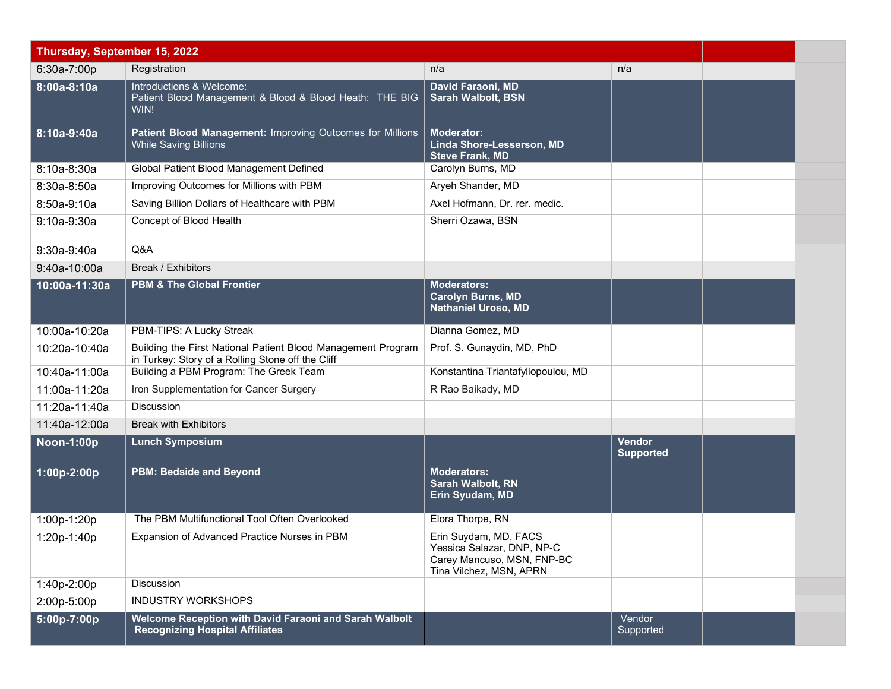| Thursday, September 15, 2022 |                                                                                                                   |                                                                                                              |                                   |  |
|------------------------------|-------------------------------------------------------------------------------------------------------------------|--------------------------------------------------------------------------------------------------------------|-----------------------------------|--|
| 6:30a-7:00p                  | Registration                                                                                                      | n/a                                                                                                          | n/a                               |  |
| 8:00a-8:10a                  | Introductions & Welcome:<br>Patient Blood Management & Blood & Blood Heath: THE BIG<br>WIN!                       | David Faraoni, MD<br><b>Sarah Walbolt, BSN</b>                                                               |                                   |  |
| 8:10a-9:40a                  | Patient Blood Management: Improving Outcomes for Millions<br><b>While Saving Billions</b>                         | <b>Moderator:</b><br>Linda Shore-Lesserson, MD<br><b>Steve Frank, MD</b>                                     |                                   |  |
| 8:10a-8:30a                  | Global Patient Blood Management Defined                                                                           | Carolyn Burns, MD                                                                                            |                                   |  |
| 8:30a-8:50a                  | Improving Outcomes for Millions with PBM                                                                          | Aryeh Shander, MD                                                                                            |                                   |  |
| 8:50a-9:10a                  | Saving Billion Dollars of Healthcare with PBM                                                                     | Axel Hofmann, Dr. rer. medic.                                                                                |                                   |  |
| 9:10a-9:30a                  | Concept of Blood Health                                                                                           | Sherri Ozawa, BSN                                                                                            |                                   |  |
| 9:30a-9:40a                  | Q&A                                                                                                               |                                                                                                              |                                   |  |
| 9:40a-10:00a                 | Break / Exhibitors                                                                                                |                                                                                                              |                                   |  |
| 10:00a-11:30a                | <b>PBM &amp; The Global Frontier</b>                                                                              | <b>Moderators:</b><br><b>Carolyn Burns, MD</b><br><b>Nathaniel Uroso, MD</b>                                 |                                   |  |
| 10:00a-10:20a                | PBM-TIPS: A Lucky Streak                                                                                          | Dianna Gomez, MD                                                                                             |                                   |  |
| 10:20a-10:40a                | Building the First National Patient Blood Management Program<br>in Turkey: Story of a Rolling Stone off the Cliff | Prof. S. Gunaydin, MD, PhD                                                                                   |                                   |  |
| 10:40a-11:00a                | Building a PBM Program: The Greek Team                                                                            | Konstantina Triantafyllopoulou, MD                                                                           |                                   |  |
| 11:00a-11:20a                | Iron Supplementation for Cancer Surgery                                                                           | R Rao Baikady, MD                                                                                            |                                   |  |
| 11:20a-11:40a                | Discussion                                                                                                        |                                                                                                              |                                   |  |
| 11:40a-12:00a                | <b>Break with Exhibitors</b>                                                                                      |                                                                                                              |                                   |  |
| <b>Noon-1:00p</b>            | <b>Lunch Symposium</b>                                                                                            |                                                                                                              | <b>Vendor</b><br><b>Supported</b> |  |
| 1:00p-2:00p                  | <b>PBM: Bedside and Beyond</b>                                                                                    | <b>Moderators:</b><br>Sarah Walbolt, RN<br>Erin Syudam, MD                                                   |                                   |  |
| 1:00p-1:20p                  | The PBM Multifunctional Tool Often Overlooked                                                                     | Elora Thorpe, RN                                                                                             |                                   |  |
| 1:20p-1:40p                  | Expansion of Advanced Practice Nurses in PBM                                                                      | Erin Suydam, MD, FACS<br>Yessica Salazar, DNP, NP-C<br>Carey Mancuso, MSN, FNP-BC<br>Tina Vilchez, MSN, APRN |                                   |  |
| 1:40p-2:00p                  | <b>Discussion</b>                                                                                                 |                                                                                                              |                                   |  |
| 2:00p-5:00p                  | <b>INDUSTRY WORKSHOPS</b>                                                                                         |                                                                                                              |                                   |  |
| $5:00p-7:00p$                | <b>Welcome Reception with David Faraoni and Sarah Walbolt</b><br><b>Recognizing Hospital Affiliates</b>           |                                                                                                              | Vendor<br>Supported               |  |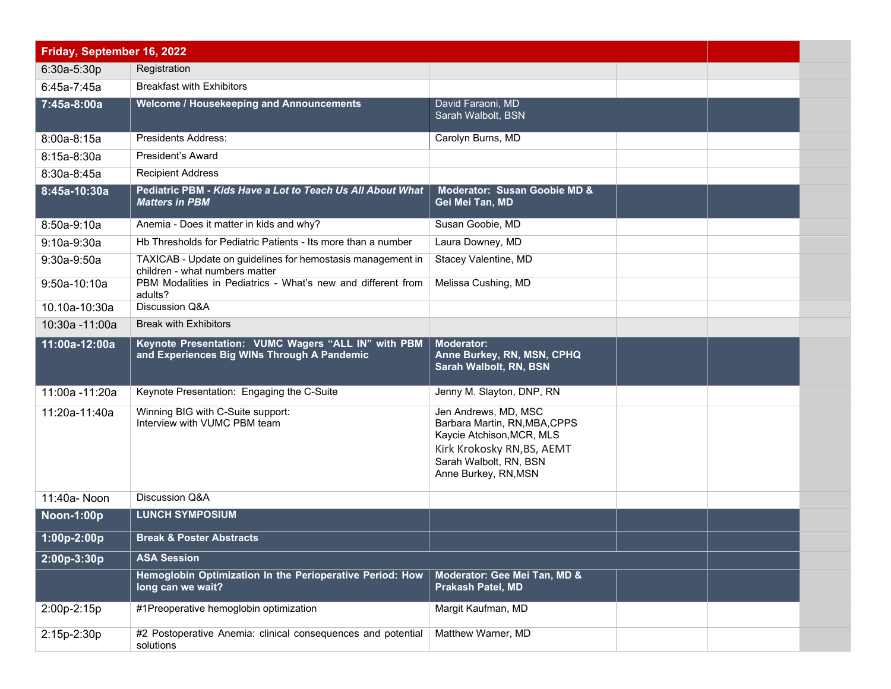| Friday, September 16, 2022 |                                                                                                    |                                                                                                                                                                    |  |  |
|----------------------------|----------------------------------------------------------------------------------------------------|--------------------------------------------------------------------------------------------------------------------------------------------------------------------|--|--|
| 6:30a-5:30p                | Registration                                                                                       |                                                                                                                                                                    |  |  |
| 6:45a-7:45a                | <b>Breakfast with Exhibitors</b>                                                                   |                                                                                                                                                                    |  |  |
| 7:45a-8:00a                | Welcome / Housekeeping and Announcements                                                           | David Faraoni, MD<br>Sarah Walbolt, BSN                                                                                                                            |  |  |
| 8:00a-8:15a                | Presidents Address:                                                                                | Carolyn Burns, MD                                                                                                                                                  |  |  |
| 8:15a-8:30a                | President's Award                                                                                  |                                                                                                                                                                    |  |  |
| 8:30a-8:45a                | <b>Recipient Address</b>                                                                           |                                                                                                                                                                    |  |  |
| 8:45a-10:30a               | Pediatric PBM - Kids Have a Lot to Teach Us All About What<br><b>Matters in PBM</b>                | Moderator: Susan Goobie MD &<br>Gei Mei Tan, MD                                                                                                                    |  |  |
| 8:50a-9:10a                | Anemia - Does it matter in kids and why?                                                           | Susan Goobie, MD                                                                                                                                                   |  |  |
| 9:10a-9:30a                | Hb Thresholds for Pediatric Patients - Its more than a number                                      | Laura Downey, MD                                                                                                                                                   |  |  |
| 9:30a-9:50a                | TAXICAB - Update on guidelines for hemostasis management in<br>children - what numbers matter      | Stacey Valentine, MD                                                                                                                                               |  |  |
| 9:50a-10:10a               | PBM Modalities in Pediatrics - What's new and different from<br>adults?                            | Melissa Cushing, MD                                                                                                                                                |  |  |
| 10.10a-10:30a              | Discussion Q&A                                                                                     |                                                                                                                                                                    |  |  |
| 10:30a -11:00a             | <b>Break with Exhibitors</b>                                                                       |                                                                                                                                                                    |  |  |
| 11:00a-12:00a              | Keynote Presentation: VUMC Wagers "ALL IN" with PBM<br>and Experiences Big WINs Through A Pandemic | <b>Moderator:</b><br>Anne Burkey, RN, MSN, CPHQ<br>Sarah Walbolt, RN, BSN                                                                                          |  |  |
| 11:00a -11:20a             | Keynote Presentation: Engaging the C-Suite                                                         | Jenny M. Slayton, DNP, RN                                                                                                                                          |  |  |
| 11:20a-11:40a              | Winning BIG with C-Suite support:<br>Interview with VUMC PBM team                                  | Jen Andrews, MD, MSC<br>Barbara Martin, RN, MBA, CPPS<br>Kaycie Atchison, MCR, MLS<br>Kirk Krokosky RN, BS, AEMT<br>Sarah Walbolt, RN, BSN<br>Anne Burkey, RN, MSN |  |  |
| 11:40a- Noon               | Discussion Q&A                                                                                     |                                                                                                                                                                    |  |  |
| <b>Noon-1:00p</b>          | <b>LUNCH SYMPOSIUM</b>                                                                             |                                                                                                                                                                    |  |  |
| 1:00p-2:00p                | <b>Break &amp; Poster Abstracts</b>                                                                |                                                                                                                                                                    |  |  |
| 2:00p-3:30p                | <b>ASA Session</b>                                                                                 |                                                                                                                                                                    |  |  |
|                            | Hemoglobin Optimization In the Perioperative Period: How<br>long can we wait?                      | Moderator: Gee Mei Tan, MD &<br>Prakash Patel, MD                                                                                                                  |  |  |
| 2:00p-2:15p                | #1Preoperative hemoglobin optimization                                                             | Margit Kaufman, MD                                                                                                                                                 |  |  |
| 2:15p-2:30p                | #2 Postoperative Anemia: clinical consequences and potential<br>solutions                          | Matthew Warner, MD                                                                                                                                                 |  |  |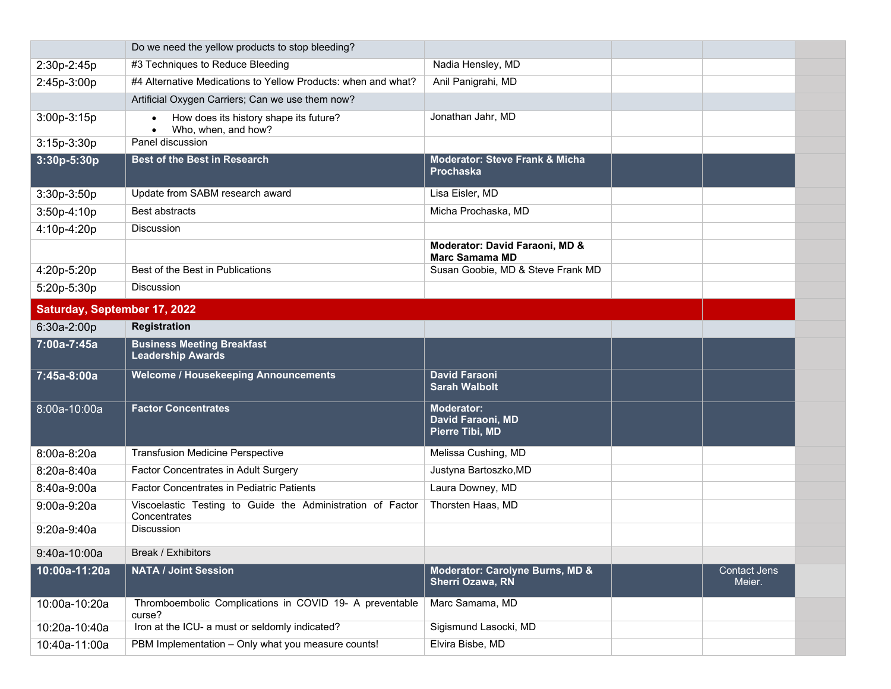|                              | Do we need the yellow products to stop bleeding?                                                     |                                                               |                        |  |
|------------------------------|------------------------------------------------------------------------------------------------------|---------------------------------------------------------------|------------------------|--|
| 2:30p-2:45p                  | #3 Techniques to Reduce Bleeding                                                                     | Nadia Hensley, MD                                             |                        |  |
| 2:45p-3:00p                  | #4 Alternative Medications to Yellow Products: when and what?                                        | Anil Panigrahi, MD                                            |                        |  |
|                              | Artificial Oxygen Carriers; Can we use them now?                                                     |                                                               |                        |  |
| 3:00p-3:15p                  | How does its history shape its future?<br>Who, when, and how?<br>$\bullet$                           | Jonathan Jahr, MD                                             |                        |  |
| 3:15p-3:30p                  | Panel discussion                                                                                     |                                                               |                        |  |
| 3:30p-5:30p                  | Best of the Best in Research                                                                         | <b>Moderator: Steve Frank &amp; Micha</b><br><b>Prochaska</b> |                        |  |
| 3:30p-3:50p                  | Update from SABM research award                                                                      | Lisa Eisler, MD                                               |                        |  |
| 3:50p-4:10p                  | <b>Best abstracts</b>                                                                                | Micha Prochaska, MD                                           |                        |  |
| 4:10p-4:20p                  | <b>Discussion</b>                                                                                    |                                                               |                        |  |
|                              |                                                                                                      | Moderator: David Faraoni, MD &                                |                        |  |
| 4:20p-5:20p                  | Best of the Best in Publications                                                                     | <b>Marc Samama MD</b><br>Susan Goobie, MD & Steve Frank MD    |                        |  |
| 5:20p-5:30p                  | <b>Discussion</b>                                                                                    |                                                               |                        |  |
| Saturday, September 17, 2022 |                                                                                                      |                                                               |                        |  |
| 6:30a-2:00p                  | <b>Registration</b>                                                                                  |                                                               |                        |  |
| 7:00a-7:45a                  | <b>Business Meeting Breakfast</b>                                                                    |                                                               |                        |  |
|                              | <b>Leadership Awards</b>                                                                             |                                                               |                        |  |
| 7:45a-8:00a                  | <b>Welcome / Housekeeping Announcements</b>                                                          | <b>David Faraoni</b><br><b>Sarah Walbolt</b>                  |                        |  |
| 8:00a-10:00a                 | <b>Factor Concentrates</b>                                                                           | <b>Moderator:</b><br>David Faraoni, MD<br>Pierre Tibi, MD     |                        |  |
| 8:00a-8:20a                  | <b>Transfusion Medicine Perspective</b>                                                              | Melissa Cushing, MD                                           |                        |  |
| 8:20a-8:40a                  | Factor Concentrates in Adult Surgery                                                                 | Justyna Bartoszko, MD                                         |                        |  |
| 8:40a-9:00a                  | Factor Concentrates in Pediatric Patients                                                            | Laura Downey, MD                                              |                        |  |
| 9:00a-9:20a                  | Viscoelastic Testing to Guide the Administration of Factor<br>Concentrates                           | Thorsten Haas, MD                                             |                        |  |
| 9:20a-9:40a                  |                                                                                                      |                                                               |                        |  |
|                              | <b>Discussion</b>                                                                                    |                                                               |                        |  |
| 9:40a-10:00a                 | Break / Exhibitors                                                                                   |                                                               |                        |  |
| 10:00a-11:20a                | <b>NATA / Joint Session</b>                                                                          | Moderator: Carolyne Burns, MD &<br>Sherri Ozawa, RN           | Contact Jens<br>Meier. |  |
| 10:00a-10:20a                | Thromboembolic Complications in COVID 19- A preventable<br>curse?                                    | Marc Samama, MD                                               |                        |  |
| 10:20a-10:40a                | Iron at the ICU- a must or seldomly indicated?<br>PBM Implementation - Only what you measure counts! | Sigismund Lasocki, MD<br>Elvira Bisbe, MD                     |                        |  |